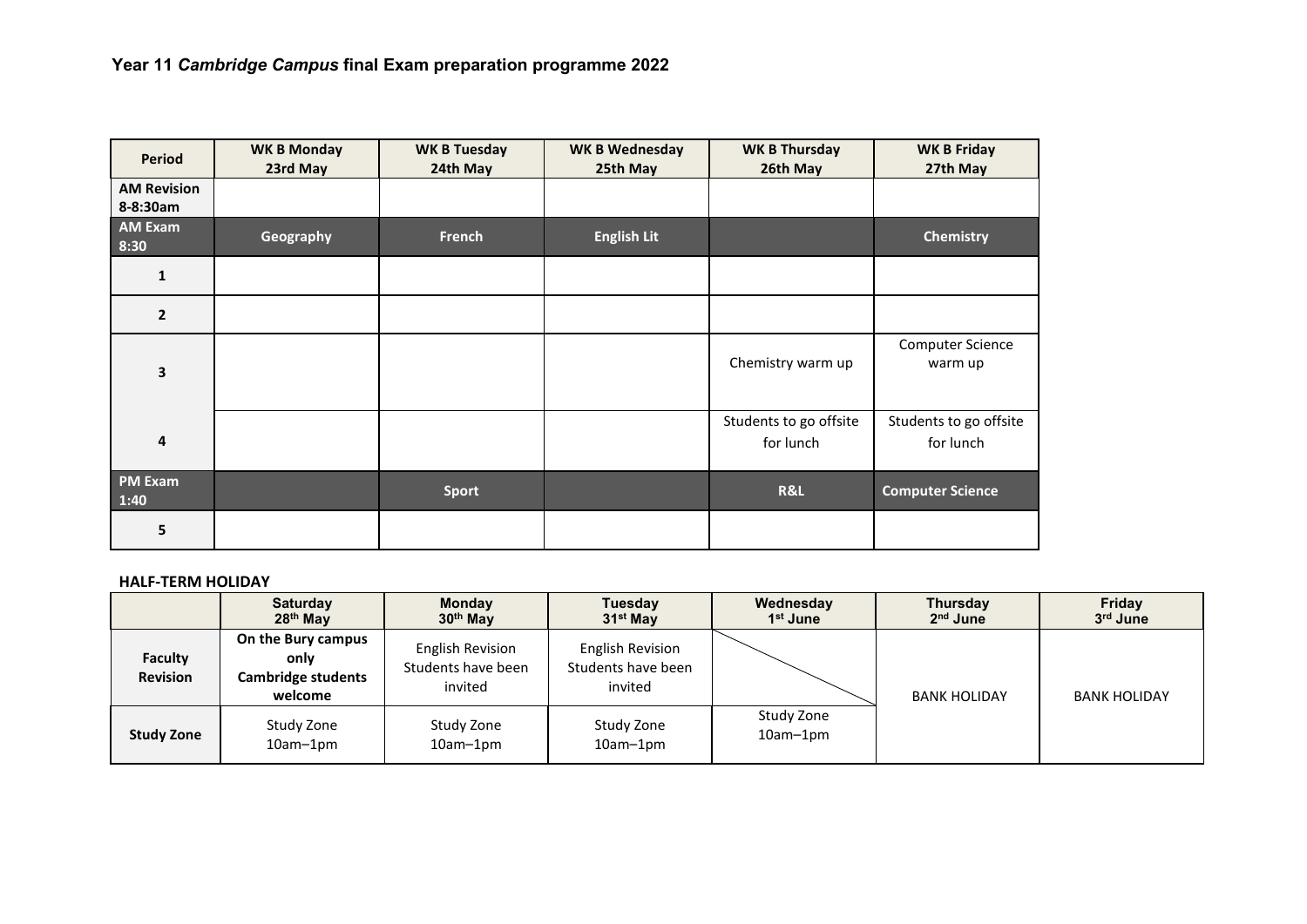| <b>Period</b>                  | <b>WK B Monday</b><br>23rd May | <b>WK B Tuesday</b><br>24th May | <b>WK B Wednesday</b><br>25th May | <b>WK B Thursday</b><br>26th May    | <b>WK B Friday</b><br>27th May      |
|--------------------------------|--------------------------------|---------------------------------|-----------------------------------|-------------------------------------|-------------------------------------|
| <b>AM Revision</b><br>8-8:30am |                                |                                 |                                   |                                     |                                     |
| <b>AM Exam</b><br>8:30         | Geography                      | <b>French</b>                   | <b>English Lit</b>                |                                     | <b>Chemistry</b>                    |
| $\mathbf{1}$                   |                                |                                 |                                   |                                     |                                     |
| $\mathbf{2}$                   |                                |                                 |                                   |                                     |                                     |
| 3                              |                                |                                 |                                   | Chemistry warm up                   | <b>Computer Science</b><br>warm up  |
| 4                              |                                |                                 |                                   | Students to go offsite<br>for lunch | Students to go offsite<br>for lunch |
| <b>PM Exam</b><br>1:40         |                                | <b>Sport</b>                    |                                   | R&L                                 | <b>Computer Science</b>             |
| 5                              |                                |                                 |                                   |                                     |                                     |

## **HALF-TERM HOLIDAY**

|                            | <b>Saturday</b><br>28 <sup>th</sup> May                            | <b>Monday</b><br>30 <sup>th</sup> May             | Tuesday<br>$31st$ May                                    | Wednesday<br>1 <sup>st</sup> June | <b>Thursday</b><br>$2nd$ June | Friday<br>3rd June  |
|----------------------------|--------------------------------------------------------------------|---------------------------------------------------|----------------------------------------------------------|-----------------------------------|-------------------------------|---------------------|
| Faculty<br><b>Revision</b> | On the Bury campus<br>only<br><b>Cambridge students</b><br>welcome | English Revision<br>Students have been<br>invited | <b>English Revision</b><br>Students have been<br>invited |                                   | <b>BANK HOLIDAY</b>           | <b>BANK HOLIDAY</b> |
| <b>Study Zone</b>          | Study Zone<br>$10am-1pm$                                           | Study Zone<br>$10am-1pm$                          | Study Zone<br>$10am-1pm$                                 | Study Zone<br>10am-1pm            |                               |                     |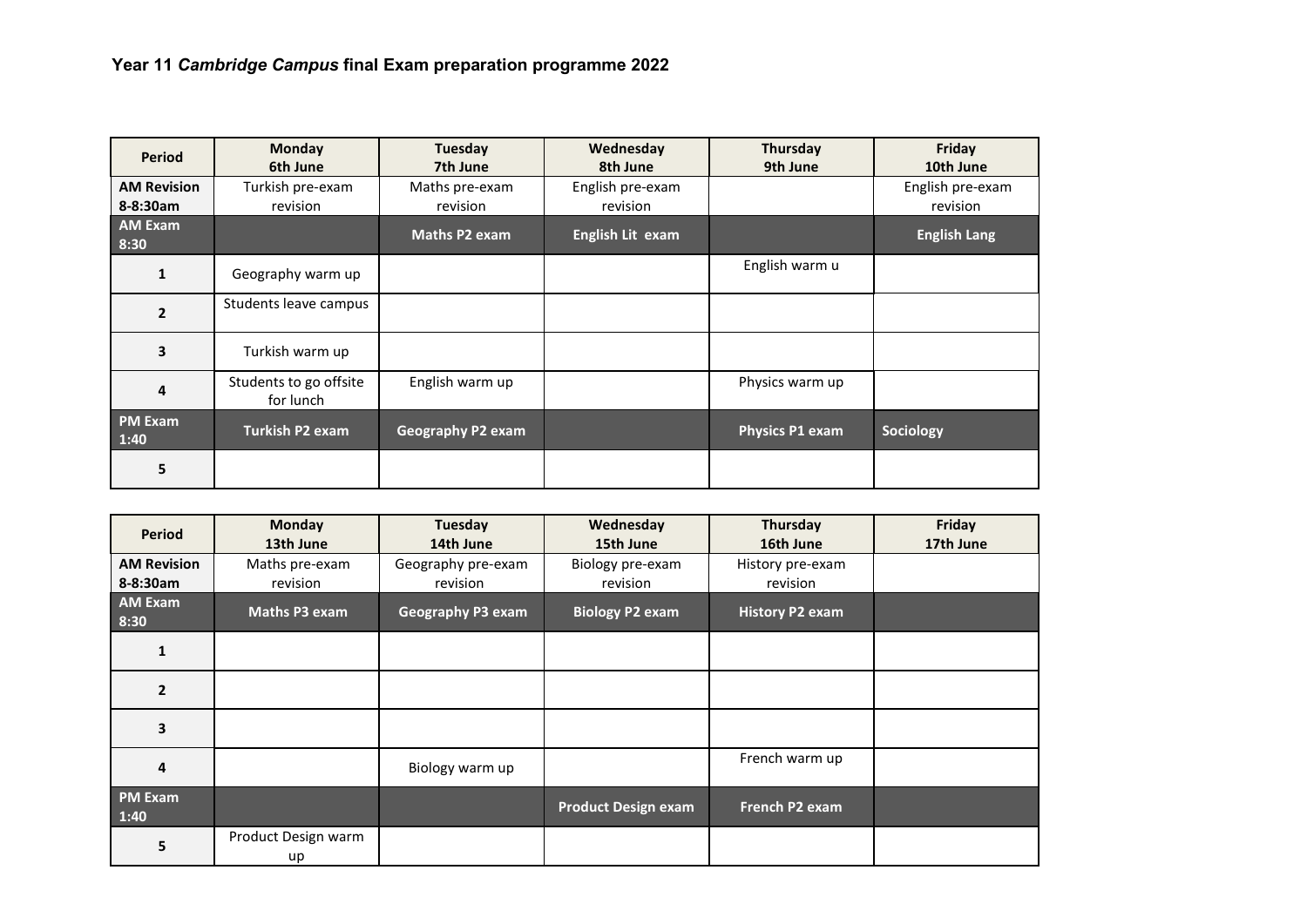| Period                 | <b>Monday</b><br>6th June           | Tuesday<br>7th June      | Wednesday<br>8th June | <b>Thursday</b><br>9th June | Friday<br>10th June |
|------------------------|-------------------------------------|--------------------------|-----------------------|-----------------------------|---------------------|
| <b>AM Revision</b>     | Turkish pre-exam                    | Maths pre-exam           | English pre-exam      |                             | English pre-exam    |
| 8-8:30am               | revision                            | revision                 | revision              |                             | revision            |
| <b>AM Exam</b><br>8:30 |                                     | <b>Maths P2 exam</b>     | English Lit exam      |                             | <b>English Lang</b> |
| $\mathbf{1}$           | Geography warm up                   |                          |                       | English warm u              |                     |
| $\overline{2}$         | Students leave campus               |                          |                       |                             |                     |
| 3                      | Turkish warm up                     |                          |                       |                             |                     |
| 4                      | Students to go offsite<br>for lunch | English warm up          |                       | Physics warm up             |                     |
| <b>PM Exam</b><br>1:40 | <b>Turkish P2 exam</b>              | <b>Geography P2 exam</b> |                       | Physics P1 exam             | Sociology           |
| 5                      |                                     |                          |                       |                             |                     |

| <b>Period</b>          | <b>Monday</b><br>13th June | Tuesday<br>14th June     | Wednesday<br>15th June     | Thursday<br>16th June  | Friday<br>17th June |
|------------------------|----------------------------|--------------------------|----------------------------|------------------------|---------------------|
| <b>AM Revision</b>     | Maths pre-exam             | Geography pre-exam       | Biology pre-exam           | History pre-exam       |                     |
| 8-8:30am               | revision                   | revision                 | revision                   | revision               |                     |
| <b>AM Exam</b><br>8:30 | Maths P3 exam              | <b>Geography P3 exam</b> | <b>Biology P2 exam</b>     | <b>History P2 exam</b> |                     |
|                        |                            |                          |                            |                        |                     |
| $\overline{2}$         |                            |                          |                            |                        |                     |
| 3                      |                            |                          |                            |                        |                     |
| 4                      |                            | Biology warm up          |                            | French warm up         |                     |
| <b>PM Exam</b><br>1:40 |                            |                          | <b>Product Design exam</b> | French P2 exam         |                     |
| 5                      | Product Design warm<br>up  |                          |                            |                        |                     |